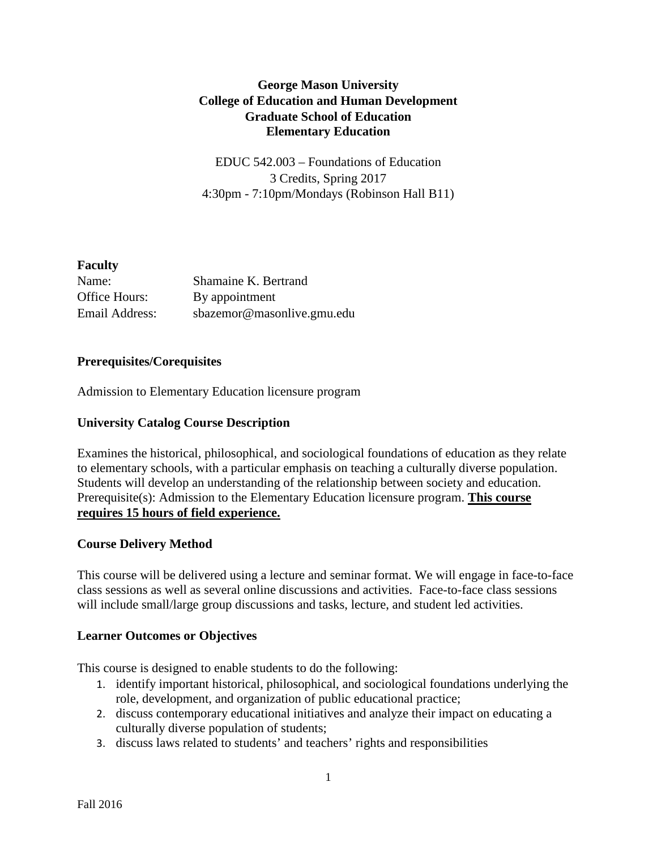# **George Mason University College of Education and Human Development Graduate School of Education Elementary Education**

EDUC 542.003 – Foundations of Education 3 Credits, Spring 2017 4:30pm - 7:10pm/Mondays (Robinson Hall B11)

## **Faculty**

| Name:          | Shamaine K. Bertrand       |
|----------------|----------------------------|
| Office Hours:  | By appointment             |
| Email Address: | sbazemor@masonlive.gmu.edu |

#### **Prerequisites/Corequisites**

Admission to Elementary Education licensure program

#### **University Catalog Course Description**

Examines the historical, philosophical, and sociological foundations of education as they relate to elementary schools, with a particular emphasis on teaching a culturally diverse population. Students will develop an understanding of the relationship between society and education. Prerequisite(s): Admission to the Elementary Education licensure program. **This course requires 15 hours of field experience.**

#### **Course Delivery Method**

This course will be delivered using a lecture and seminar format. We will engage in face-to-face class sessions as well as several online discussions and activities. Face-to-face class sessions will include small/large group discussions and tasks, lecture, and student led activities.

#### **Learner Outcomes or Objectives**

This course is designed to enable students to do the following:

- 1. identify important historical, philosophical, and sociological foundations underlying the role, development, and organization of public educational practice;
- 2. discuss contemporary educational initiatives and analyze their impact on educating a culturally diverse population of students;
- 3. discuss laws related to students' and teachers' rights and responsibilities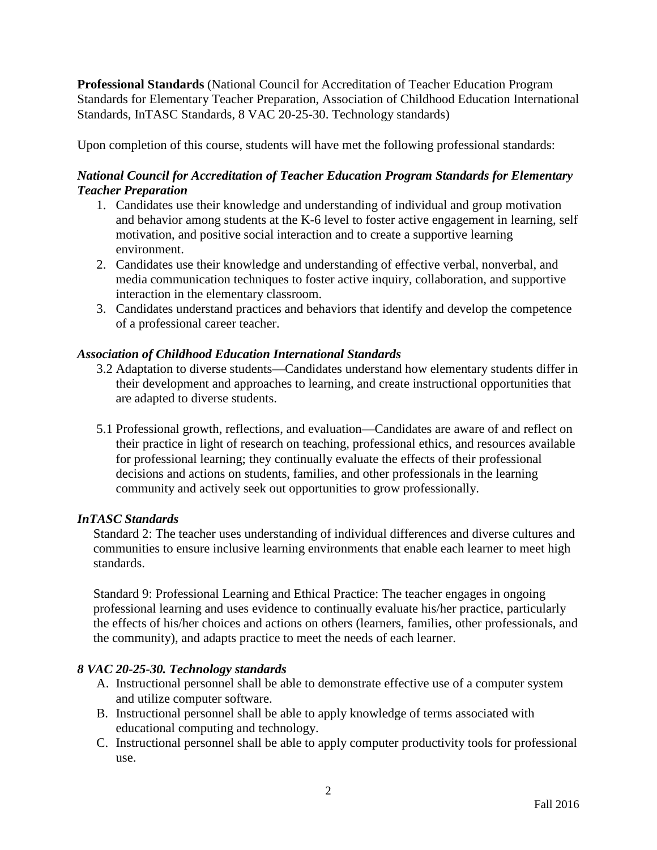**Professional Standards** (National Council for Accreditation of Teacher Education Program Standards for Elementary Teacher Preparation, Association of Childhood Education International Standards, InTASC Standards, 8 VAC 20-25-30. Technology standards)

Upon completion of this course, students will have met the following professional standards:

# *National Council for Accreditation of Teacher Education Program Standards for Elementary Teacher Preparation*

- 1. Candidates use their knowledge and understanding of individual and group motivation and behavior among students at the K-6 level to foster active engagement in learning, self motivation, and positive social interaction and to create a supportive learning environment.
- 2. Candidates use their knowledge and understanding of effective verbal, nonverbal, and media communication techniques to foster active inquiry, collaboration, and supportive interaction in the elementary classroom.
- 3. Candidates understand practices and behaviors that identify and develop the competence of a professional career teacher.

# *Association of Childhood Education International Standards*

- 3.2 Adaptation to diverse students—Candidates understand how elementary students differ in their development and approaches to learning, and create instructional opportunities that are adapted to diverse students.
- 5.1 Professional growth, reflections, and evaluation—Candidates are aware of and reflect on their practice in light of research on teaching, professional ethics, and resources available for professional learning; they continually evaluate the effects of their professional decisions and actions on students, families, and other professionals in the learning community and actively seek out opportunities to grow professionally.

## *InTASC Standards*

Standard 2: The teacher uses understanding of individual differences and diverse cultures and communities to ensure inclusive learning environments that enable each learner to meet high standards.

Standard 9: Professional Learning and Ethical Practice: The teacher engages in ongoing professional learning and uses evidence to continually evaluate his/her practice, particularly the effects of his/her choices and actions on others (learners, families, other professionals, and the community), and adapts practice to meet the needs of each learner.

# *8 VAC 20-25-30. Technology standards*

- A. Instructional personnel shall be able to demonstrate effective use of a computer system and utilize computer software.
- B. Instructional personnel shall be able to apply knowledge of terms associated with educational computing and technology.
- C. Instructional personnel shall be able to apply computer productivity tools for professional use.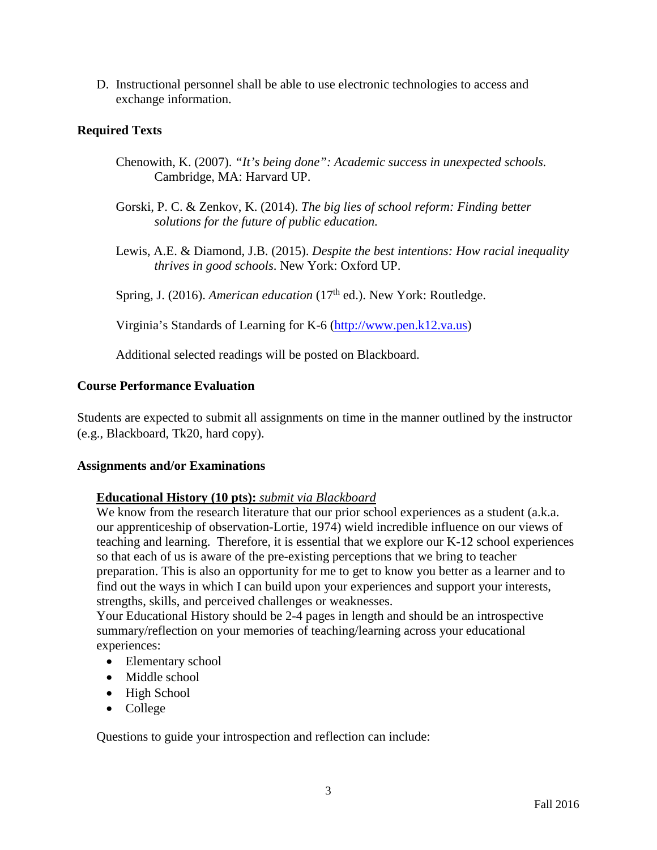D. Instructional personnel shall be able to use electronic technologies to access and exchange information.

#### **Required Texts**

- Chenowith, K. (2007). *"It's being done": Academic success in unexpected schools.*  Cambridge, MA: Harvard UP.
- Gorski, P. C. & Zenkov, K. (2014). *The big lies of school reform: Finding better solutions for the future of public education.*
- Lewis, A.E. & Diamond, J.B. (2015). *Despite the best intentions: How racial inequality thrives in good schools*. New York: Oxford UP.

Spring, J. (2016). *American education* (17<sup>th</sup> ed.). New York: Routledge.

Virginia's Standards of Learning for K-6 [\(http://www.pen.k12.va.us\)](http://www.pen.k12.va.us/)

Additional selected readings will be posted on Blackboard.

#### **Course Performance Evaluation**

Students are expected to submit all assignments on time in the manner outlined by the instructor (e.g., Blackboard, Tk20, hard copy).

#### **Assignments and/or Examinations**

#### **Educational History (10 pts):** *submit via Blackboard*

We know from the research literature that our prior school experiences as a student (a.k.a. our apprenticeship of observation-Lortie, 1974) wield incredible influence on our views of teaching and learning. Therefore, it is essential that we explore our K-12 school experiences so that each of us is aware of the pre-existing perceptions that we bring to teacher preparation. This is also an opportunity for me to get to know you better as a learner and to find out the ways in which I can build upon your experiences and support your interests, strengths, skills, and perceived challenges or weaknesses.

Your Educational History should be 2-4 pages in length and should be an introspective summary/reflection on your memories of teaching/learning across your educational experiences:

- Elementary school
- Middle school
- High School
- College

Questions to guide your introspection and reflection can include: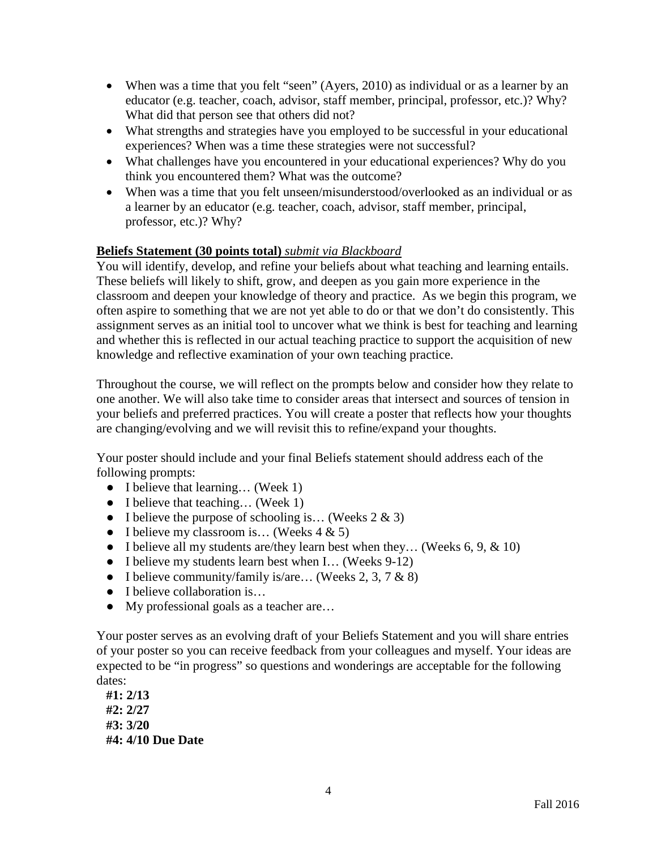- When was a time that you felt "seen" (Ayers, 2010) as individual or as a learner by an educator (e.g. teacher, coach, advisor, staff member, principal, professor, etc.)? Why? What did that person see that others did not?
- What strengths and strategies have you employed to be successful in your educational experiences? When was a time these strategies were not successful?
- What challenges have you encountered in your educational experiences? Why do you think you encountered them? What was the outcome?
- When was a time that you felt unseen/misunderstood/overlooked as an individual or as a learner by an educator (e.g. teacher, coach, advisor, staff member, principal, professor, etc.)? Why?

## **Beliefs Statement (30 points total)** *submit via Blackboard*

You will identify, develop, and refine your beliefs about what teaching and learning entails. These beliefs will likely to shift, grow, and deepen as you gain more experience in the classroom and deepen your knowledge of theory and practice. As we begin this program, we often aspire to something that we are not yet able to do or that we don't do consistently. This assignment serves as an initial tool to uncover what we think is best for teaching and learning and whether this is reflected in our actual teaching practice to support the acquisition of new knowledge and reflective examination of your own teaching practice.

Throughout the course, we will reflect on the prompts below and consider how they relate to one another. We will also take time to consider areas that intersect and sources of tension in your beliefs and preferred practices. You will create a poster that reflects how your thoughts are changing/evolving and we will revisit this to refine/expand your thoughts.

Your poster should include and your final Beliefs statement should address each of the following prompts:

- I believe that learning... (Week 1)
- I believe that teaching... (Week 1)
- I believe the purpose of schooling is... (Weeks  $2 \& 3$ )
- I believe my classroom is... (Weeks  $4 \& 5$ )
- I believe all my students are/they learn best when they... (Weeks  $6, 9, \& 10$ )
- I believe my students learn best when I... (Weeks 9-12)
- I believe community/family is/are... (Weeks 2, 3, 7  $\&$  8)
- I believe collaboration is...
- My professional goals as a teacher are...

Your poster serves as an evolving draft of your Beliefs Statement and you will share entries of your poster so you can receive feedback from your colleagues and myself. Your ideas are expected to be "in progress" so questions and wonderings are acceptable for the following dates:

**#1: 2/13 #2: 2/27 #3: 3/20 #4: 4/10 Due Date**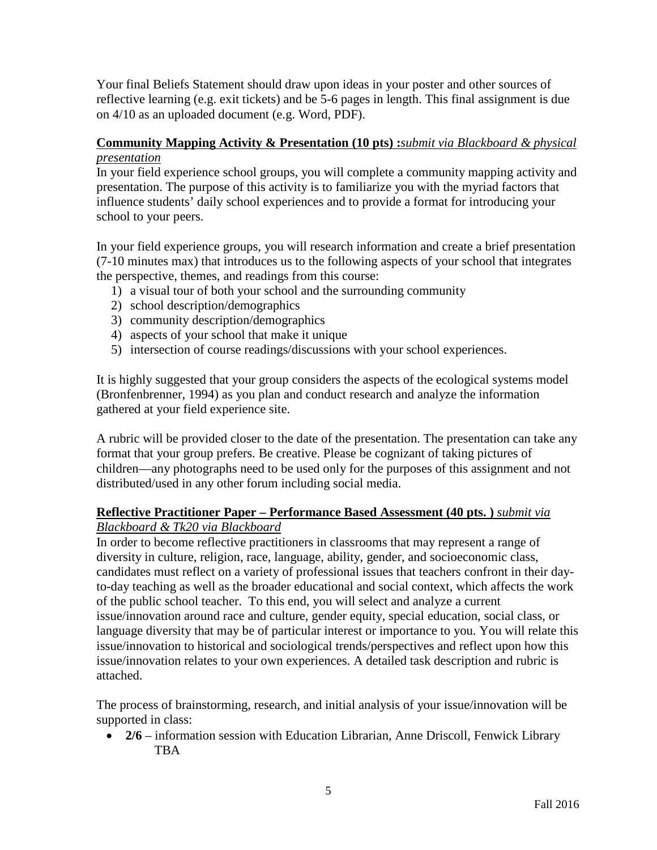Your final Beliefs Statement should draw upon ideas in your poster and other sources of reflective learning (e.g. exit tickets) and be 5-6 pages in length. This final assignment is due on 4/10 as an uploaded document (e.g. Word, PDF).

## **Community Mapping Activity & Presentation (10 pts) :***submit via Blackboard & physical presentation*

In your field experience school groups, you will complete a community mapping activity and presentation. The purpose of this activity is to familiarize you with the myriad factors that influence students' daily school experiences and to provide a format for introducing your school to your peers.

In your field experience groups, you will research information and create a brief presentation (7-10 minutes max) that introduces us to the following aspects of your school that integrates the perspective, themes, and readings from this course:

- 1) a visual tour of both your school and the surrounding community
- 2) school description/demographics
- 3) community description/demographics
- 4) aspects of your school that make it unique
- 5) intersection of course readings/discussions with your school experiences.

It is highly suggested that your group considers the aspects of the ecological systems model (Bronfenbrenner, 1994) as you plan and conduct research and analyze the information gathered at your field experience site.

A rubric will be provided closer to the date of the presentation. The presentation can take any format that your group prefers. Be creative. Please be cognizant of taking pictures of children—any photographs need to be used only for the purposes of this assignment and not distributed/used in any other forum including social media.

## **Reflective Practitioner Paper – Performance Based Assessment (40 pts. )** *submit via Blackboard & Tk20 via Blackboard*

In order to become reflective practitioners in classrooms that may represent a range of diversity in culture, religion, race, language, ability, gender, and socioeconomic class, candidates must reflect on a variety of professional issues that teachers confront in their dayto-day teaching as well as the broader educational and social context, which affects the work of the public school teacher. To this end, you will select and analyze a current issue/innovation around race and culture, gender equity, special education, social class, or language diversity that may be of particular interest or importance to you. You will relate this issue/innovation to historical and sociological trends/perspectives and reflect upon how this issue/innovation relates to your own experiences. A detailed task description and rubric is attached.

The process of brainstorming, research, and initial analysis of your issue/innovation will be supported in class:

• **2/6** – information session with Education Librarian, Anne Driscoll, Fenwick Library **TBA**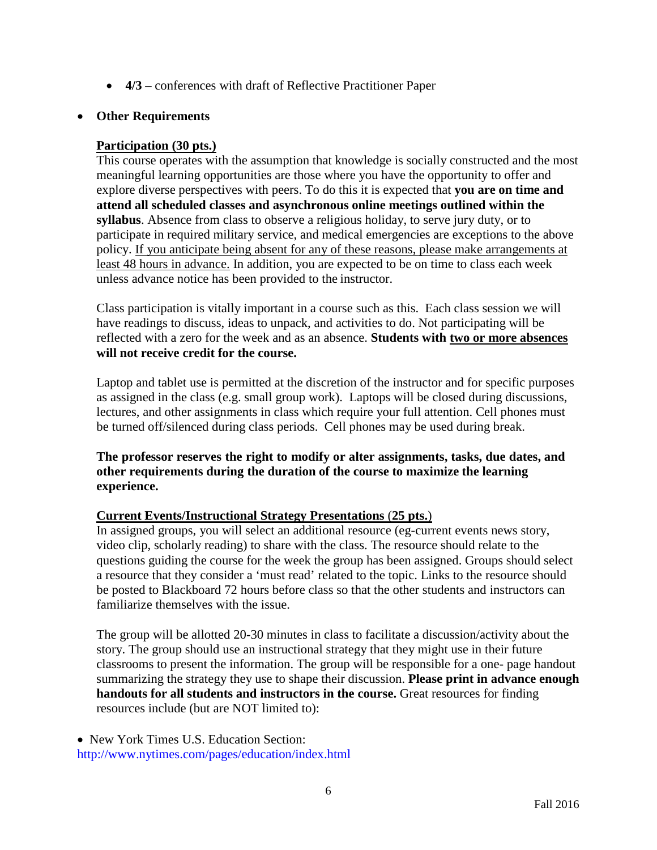• **4/3** – conferences with draft of Reflective Practitioner Paper

#### • **Other Requirements**

#### **Participation (30 pts.)**

This course operates with the assumption that knowledge is socially constructed and the most meaningful learning opportunities are those where you have the opportunity to offer and explore diverse perspectives with peers. To do this it is expected that **you are on time and attend all scheduled classes and asynchronous online meetings outlined within the syllabus**. Absence from class to observe a religious holiday, to serve jury duty, or to participate in required military service, and medical emergencies are exceptions to the above policy. If you anticipate being absent for any of these reasons, please make arrangements at least 48 hours in advance. In addition, you are expected to be on time to class each week unless advance notice has been provided to the instructor.

Class participation is vitally important in a course such as this. Each class session we will have readings to discuss, ideas to unpack, and activities to do. Not participating will be reflected with a zero for the week and as an absence. **Students with two or more absences will not receive credit for the course.** 

Laptop and tablet use is permitted at the discretion of the instructor and for specific purposes as assigned in the class (e.g. small group work). Laptops will be closed during discussions, lectures, and other assignments in class which require your full attention. Cell phones must be turned off/silenced during class periods. Cell phones may be used during break.

**The professor reserves the right to modify or alter assignments, tasks, due dates, and other requirements during the duration of the course to maximize the learning experience.**

## **Current Events/Instructional Strategy Presentations** (**25 pts.**)

In assigned groups, you will select an additional resource (eg-current events news story, video clip, scholarly reading) to share with the class. The resource should relate to the questions guiding the course for the week the group has been assigned. Groups should select a resource that they consider a 'must read' related to the topic. Links to the resource should be posted to Blackboard 72 hours before class so that the other students and instructors can familiarize themselves with the issue.

The group will be allotted 20-30 minutes in class to facilitate a discussion/activity about the story. The group should use an instructional strategy that they might use in their future classrooms to present the information. The group will be responsible for a one- page handout summarizing the strategy they use to shape their discussion. **Please print in advance enough handouts for all students and instructors in the course.** Great resources for finding resources include (but are NOT limited to):

• New York Times U.S. Education Section: http://www.nytimes.com/pages/education/index.html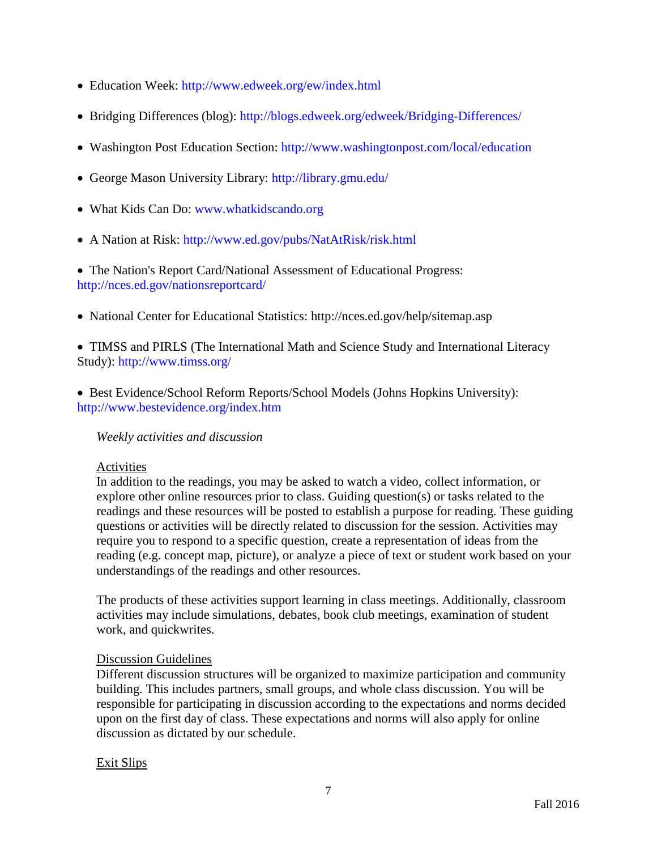- Education Week: http://www.edweek.org/ew/index.html
- Bridging Differences (blog): http://blogs.edweek.org/edweek/Bridging-Differences/
- Washington Post Education Section: http://www.washingtonpost.com/local/education
- George Mason University Library: http://library.gmu.edu/
- What Kids Can Do: www.whatkidscando.org
- A Nation at Risk: http://www.ed.gov/pubs/NatAtRisk/risk.html

• The Nation's Report Card/National Assessment of Educational Progress: http://nces.ed.gov/nationsreportcard/

• National Center for Educational Statistics: http://nces.ed.gov/help/sitemap.asp

• TIMSS and PIRLS (The International Math and Science Study and International Literacy Study): http://www.timss.org/

• Best Evidence/School Reform Reports/School Models (Johns Hopkins University): http://www.bestevidence.org/index.htm

## *Weekly activities and discussion*

#### Activities

In addition to the readings, you may be asked to watch a video, collect information, or explore other online resources prior to class. Guiding question(s) or tasks related to the readings and these resources will be posted to establish a purpose for reading. These guiding questions or activities will be directly related to discussion for the session. Activities may require you to respond to a specific question, create a representation of ideas from the reading (e.g. concept map, picture), or analyze a piece of text or student work based on your understandings of the readings and other resources.

The products of these activities support learning in class meetings. Additionally, classroom activities may include simulations, debates, book club meetings, examination of student work, and quickwrites.

## Discussion Guidelines

Different discussion structures will be organized to maximize participation and community building. This includes partners, small groups, and whole class discussion. You will be responsible for participating in discussion according to the expectations and norms decided upon on the first day of class. These expectations and norms will also apply for online discussion as dictated by our schedule.

## Exit Slips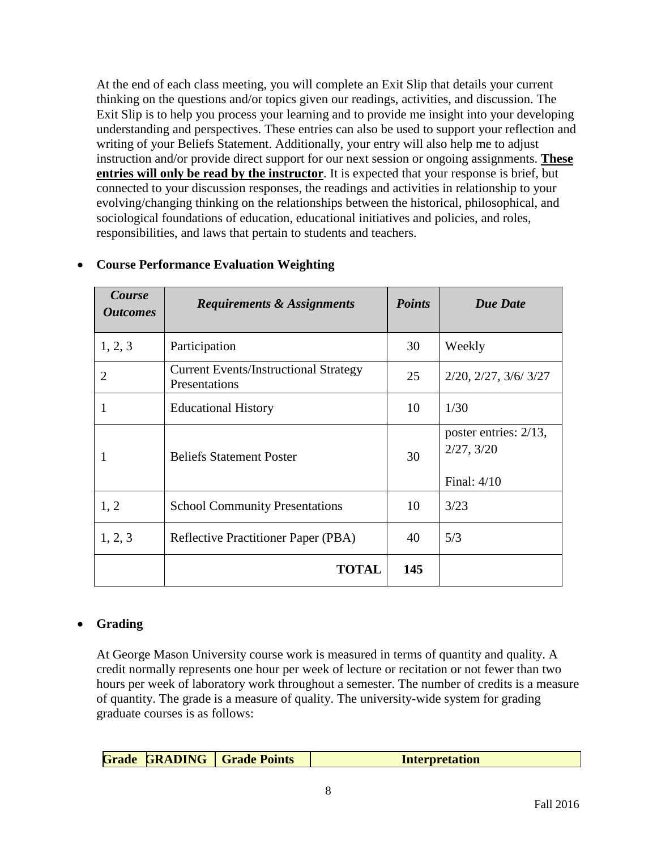At the end of each class meeting, you will complete an Exit Slip that details your current thinking on the questions and/or topics given our readings, activities, and discussion. The Exit Slip is to help you process your learning and to provide me insight into your developing understanding and perspectives. These entries can also be used to support your reflection and writing of your Beliefs Statement. Additionally, your entry will also help me to adjust instruction and/or provide direct support for our next session or ongoing assignments. **These entries will only be read by the instructor**. It is expected that your response is brief, but connected to your discussion responses, the readings and activities in relationship to your evolving/changing thinking on the relationships between the historical, philosophical, and sociological foundations of education, educational initiatives and policies, and roles, responsibilities, and laws that pertain to students and teachers.

| Course<br><b>Outcomes</b> | <b>Requirements &amp; Assignments</b>                         | <b>Points</b> | <b>Due Date</b>                                      |
|---------------------------|---------------------------------------------------------------|---------------|------------------------------------------------------|
| 1, 2, 3                   | Participation                                                 | 30            | Weekly                                               |
| $\overline{2}$            | <b>Current Events/Instructional Strategy</b><br>Presentations | 25            | 2/20, 2/27, 3/6/3/27                                 |
| 1                         | <b>Educational History</b>                                    | 10            | 1/30                                                 |
| 1                         | <b>Beliefs Statement Poster</b>                               | 30            | poster entries: 2/13,<br>2/27, 3/20<br>Final: $4/10$ |
| 1, 2                      | <b>School Community Presentations</b>                         | 10            | 3/23                                                 |
| 1, 2, 3                   | Reflective Practitioner Paper (PBA)                           | 40            | 5/3                                                  |
|                           | <b>TOTAL</b>                                                  | 145           |                                                      |

# • **Course Performance Evaluation Weighting**

## • **Grading**

At George Mason University course work is measured in terms of quantity and quality. A credit normally represents one hour per week of lecture or recitation or not fewer than two hours per week of laboratory work throughout a semester. The number of credits is a measure of quantity. The grade is a measure of quality. The university-wide system for grading graduate courses is as follows:

| GRADING<br>Grade<br>  Grade Points<br><b>Interpretation</b> |
|-------------------------------------------------------------|
|-------------------------------------------------------------|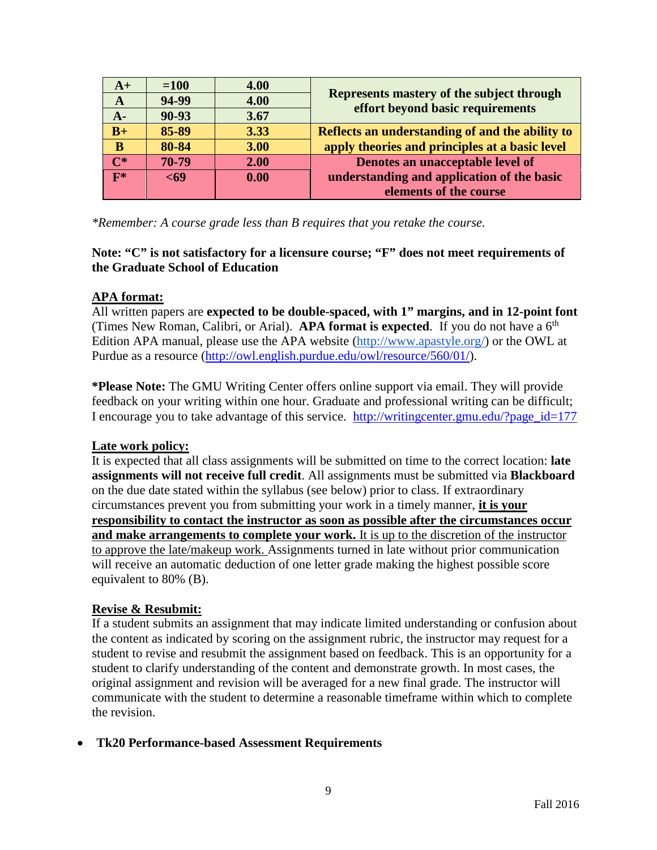| $A+$           | $=100$ | 4.00 |                                                                               |
|----------------|--------|------|-------------------------------------------------------------------------------|
| A              | 94-99  | 4.00 | Represents mastery of the subject through<br>effort beyond basic requirements |
| $A -$          | 90-93  | 3.67 |                                                                               |
| $B+$           | 85-89  | 3.33 | Reflects an understanding of and the ability to                               |
| B              | 80-84  | 3.00 | apply theories and principles at a basic level                                |
| $\mathbf{C}^*$ | 70-79  | 2.00 | Denotes an unacceptable level of                                              |
| $\mathbf{F}^*$ | $69$   | 0.00 | understanding and application of the basic                                    |
|                |        |      | elements of the course                                                        |

*\*Remember: A course grade less than B requires that you retake the course.*

## **Note: "C" is not satisfactory for a licensure course; "F" does not meet requirements of the Graduate School of Education**

# **APA format:**

All written papers are **expected to be double-spaced, with 1" margins, and in 12-point font** (Times New Roman, Calibri, or Arial). **APA format is expected**. If you do not have a  $6<sup>th</sup>$ Edition APA manual, please use the APA website [\(http://www.apastyle.org/\)](http://www.apastyle.org/) or the OWL at Purdue as a resource [\(http://owl.english.purdue.edu/owl/resource/560/01/\)](http://owl.english.purdue.edu/owl/resource/560/01/).

**\*Please Note:** The GMU Writing Center offers online support via email. They will provide feedback on your writing within one hour. Graduate and professional writing can be difficult; I encourage you to take advantage of this service. [http://writingcenter.gmu.edu/?page\\_id=177](http://writingcenter.gmu.edu/?page_id=177)

# **Late work policy:**

It is expected that all class assignments will be submitted on time to the correct location: **late assignments will not receive full credit**. All assignments must be submitted via **Blackboard** on the due date stated within the syllabus (see below) prior to class. If extraordinary circumstances prevent you from submitting your work in a timely manner, **it is your responsibility to contact the instructor as soon as possible after the circumstances occur and make arrangements to complete your work.** It is up to the discretion of the instructor to approve the late/makeup work. Assignments turned in late without prior communication will receive an automatic deduction of one letter grade making the highest possible score equivalent to 80% (B).

## **Revise & Resubmit:**

If a student submits an assignment that may indicate limited understanding or confusion about the content as indicated by scoring on the assignment rubric, the instructor may request for a student to revise and resubmit the assignment based on feedback. This is an opportunity for a student to clarify understanding of the content and demonstrate growth. In most cases, the original assignment and revision will be averaged for a new final grade. The instructor will communicate with the student to determine a reasonable timeframe within which to complete the revision.

## • **Tk20 Performance-based Assessment Requirements**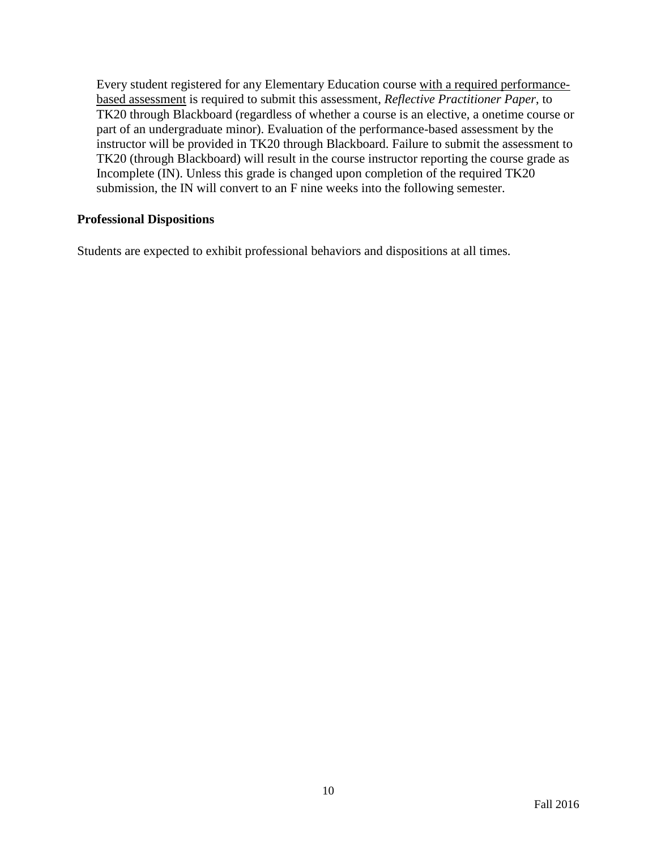Every student registered for any Elementary Education course with a required performancebased assessment is required to submit this assessment, *Reflective Practitioner Paper*, to TK20 through Blackboard (regardless of whether a course is an elective, a onetime course or part of an undergraduate minor). Evaluation of the performance-based assessment by the instructor will be provided in TK20 through Blackboard. Failure to submit the assessment to TK20 (through Blackboard) will result in the course instructor reporting the course grade as Incomplete (IN). Unless this grade is changed upon completion of the required TK20 submission, the IN will convert to an F nine weeks into the following semester.

#### **Professional Dispositions**

Students are expected to exhibit professional behaviors and dispositions at all times.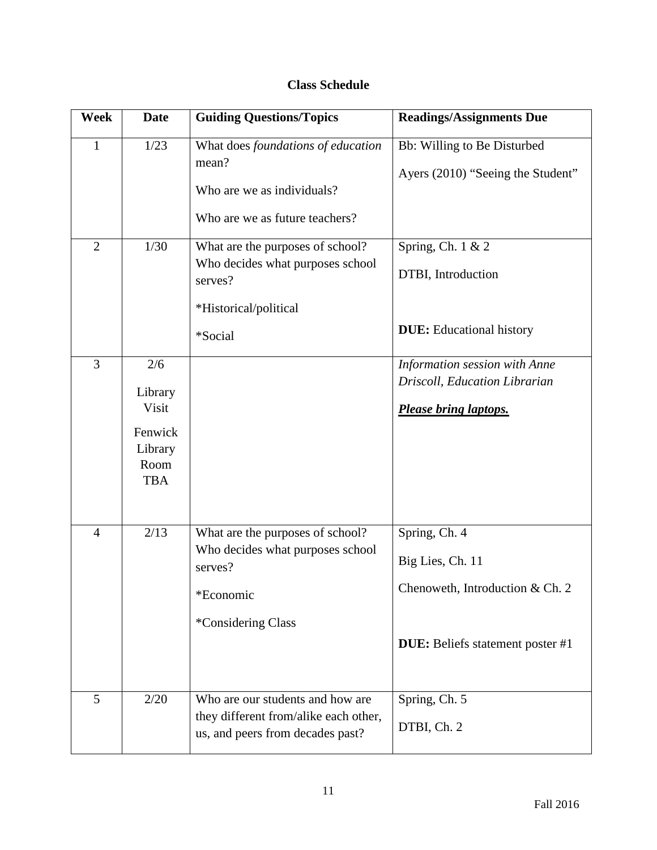# **Class Schedule**

| Week           | <b>Date</b>                                                         | <b>Guiding Questions/Topics</b>                                                                                     | <b>Readings/Assignments Due</b>                                                                                 |
|----------------|---------------------------------------------------------------------|---------------------------------------------------------------------------------------------------------------------|-----------------------------------------------------------------------------------------------------------------|
| $\mathbf{1}$   | 1/23                                                                | What does foundations of education<br>mean?<br>Who are we as individuals?<br>Who are we as future teachers?         | Bb: Willing to Be Disturbed<br>Ayers (2010) "Seeing the Student"                                                |
| $\overline{2}$ | 1/30                                                                | What are the purposes of school?<br>Who decides what purposes school<br>serves?<br>*Historical/political<br>*Social | Spring, Ch. $1 & 2$<br>DTBI, Introduction<br><b>DUE:</b> Educational history                                    |
| $\overline{3}$ | 2/6<br>Library<br>Visit<br>Fenwick<br>Library<br>Room<br><b>TBA</b> |                                                                                                                     | Information session with Anne<br>Driscoll, Education Librarian<br>Please bring laptops.                         |
| $\overline{4}$ | 2/13                                                                | What are the purposes of school?<br>Who decides what purposes school<br>serves?<br>*Economic<br>*Considering Class  | Spring, Ch. 4<br>Big Lies, Ch. 11<br>Chenoweth, Introduction & Ch. 2<br><b>DUE:</b> Beliefs statement poster #1 |
| $\overline{5}$ | 2/20                                                                | Who are our students and how are<br>they different from/alike each other,<br>us, and peers from decades past?       | Spring, Ch. 5<br>DTBI, Ch. 2                                                                                    |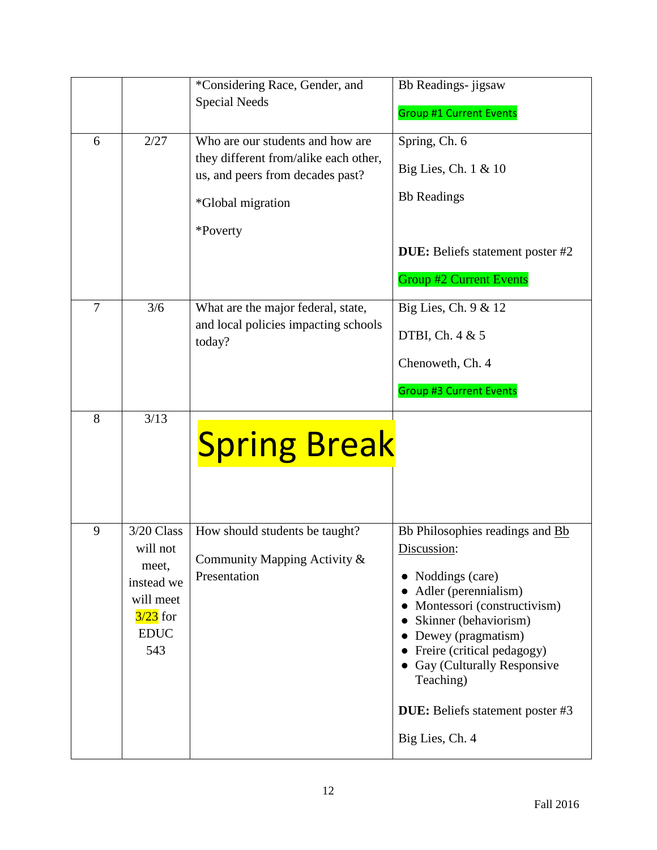|                |                                                                                                        | *Considering Race, Gender, and<br><b>Special Needs</b>                                                                                         | Bb Readings- jigsaw<br><b>Group #1 Current Events</b>                                                                                                                                                                                                                                                            |
|----------------|--------------------------------------------------------------------------------------------------------|------------------------------------------------------------------------------------------------------------------------------------------------|------------------------------------------------------------------------------------------------------------------------------------------------------------------------------------------------------------------------------------------------------------------------------------------------------------------|
| 6              | 2/27                                                                                                   | Who are our students and how are<br>they different from/alike each other,<br>us, and peers from decades past?<br>*Global migration<br>*Poverty | Spring, Ch. 6<br>Big Lies, Ch. 1 & 10<br><b>Bb</b> Readings<br><b>DUE:</b> Beliefs statement poster #2<br><b>Group #2 Current Events</b>                                                                                                                                                                         |
| $\overline{7}$ | 3/6                                                                                                    | What are the major federal, state,<br>and local policies impacting schools<br>today?                                                           | Big Lies, Ch. 9 & 12<br>DTBI, Ch. 4 & 5<br>Chenoweth, Ch. 4<br><b>Group #3 Current Events</b>                                                                                                                                                                                                                    |
| 8              | 3/13                                                                                                   | <b>Spring Break</b>                                                                                                                            |                                                                                                                                                                                                                                                                                                                  |
| 9              | 3/20 Class<br>will not<br>meet,<br>instead we<br>will meet<br>$\frac{3}{23}$ for<br><b>EDUC</b><br>543 | How should students be taught?<br>Community Mapping Activity &<br>Presentation                                                                 | Bb Philosophies readings and Bb<br>Discussion:<br>• Noddings (care)<br>Adler (perennialism)<br>Montessori (constructivism)<br>Skinner (behaviorism)<br>Dewey (pragmatism)<br>Freire (critical pedagogy)<br>Gay (Culturally Responsive<br>Teaching)<br><b>DUE:</b> Beliefs statement poster #3<br>Big Lies, Ch. 4 |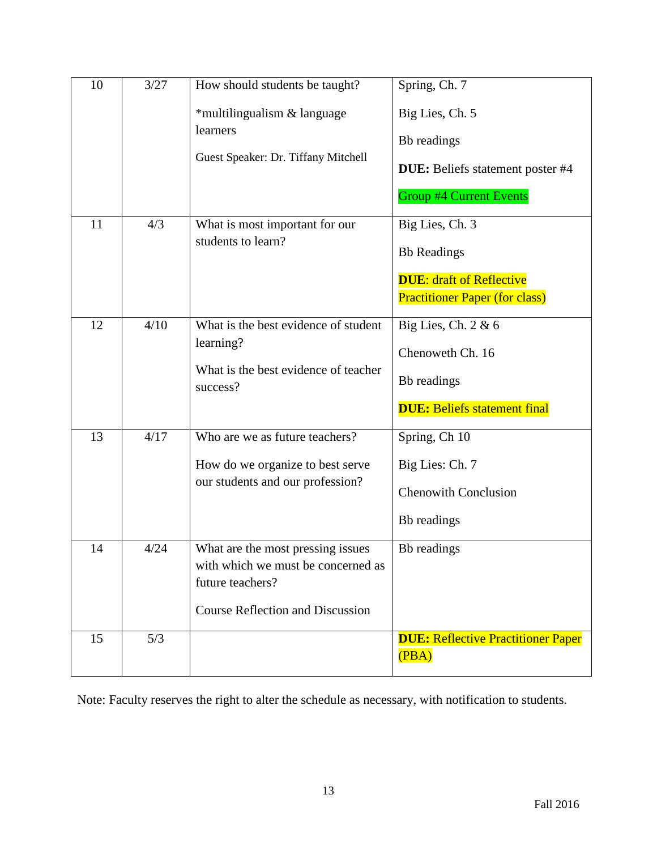| 10 | 3/27 | How should students be taught?<br>*multilingualism & language<br>learners<br>Guest Speaker: Dr. Tiffany Mitchell                       | Spring, Ch. 7<br>Big Lies, Ch. 5<br>Bb readings<br><b>DUE:</b> Beliefs statement poster #4<br><b>Group #4 Current Events</b> |
|----|------|----------------------------------------------------------------------------------------------------------------------------------------|------------------------------------------------------------------------------------------------------------------------------|
| 11 | 4/3  | What is most important for our<br>students to learn?                                                                                   | Big Lies, Ch. 3<br><b>Bb</b> Readings<br><b>DUE: draft of Reflective</b><br><b>Practitioner Paper (for class)</b>            |
| 12 | 4/10 | What is the best evidence of student<br>learning?<br>What is the best evidence of teacher<br>success?                                  | Big Lies, Ch. 2 & 6<br>Chenoweth Ch. 16<br>Bb readings<br><b>DUE: Beliefs statement final</b>                                |
| 13 | 4/17 | Who are we as future teachers?<br>How do we organize to best serve<br>our students and our profession?                                 | Spring, Ch 10<br>Big Lies: Ch. 7<br><b>Chenowith Conclusion</b><br>Bb readings                                               |
| 14 | 4/24 | What are the most pressing issues<br>with which we must be concerned as<br>future teachers?<br><b>Course Reflection and Discussion</b> | Bb readings                                                                                                                  |
| 15 | 5/3  |                                                                                                                                        | <b>DUE: Reflective Practitioner Paper</b><br>(PBA)                                                                           |

Note: Faculty reserves the right to alter the schedule as necessary, with notification to students.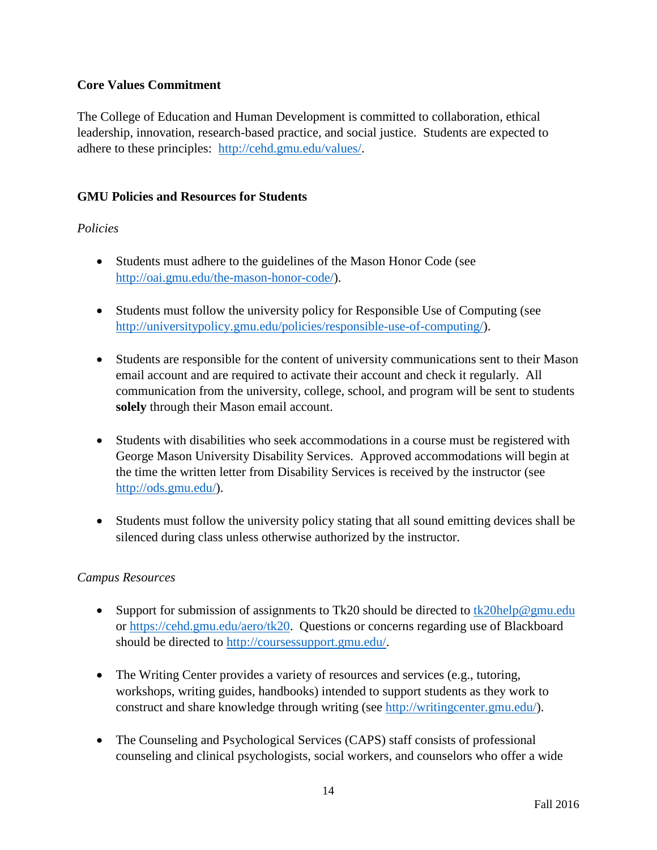# **Core Values Commitment**

The College of Education and Human Development is committed to collaboration, ethical leadership, innovation, research-based practice, and social justice. Students are expected to adhere to these principles: [http://cehd.gmu.edu/values/.](http://cehd.gmu.edu/values/)

# **GMU Policies and Resources for Students**

# *Policies*

- Students must adhere to the guidelines of the Mason Honor Code (see [http://oai.gmu.edu/the-mason-honor-code/\)](http://oai.gmu.edu/the-mason-honor-code/).
- Students must follow the university policy for Responsible Use of Computing (see [http://universitypolicy.gmu.edu/policies/responsible-use-of-computing/\)](http://universitypolicy.gmu.edu/policies/responsible-use-of-computing/).
- Students are responsible for the content of university communications sent to their Mason email account and are required to activate their account and check it regularly. All communication from the university, college, school, and program will be sent to students **solely** through their Mason email account.
- Students with disabilities who seek accommodations in a course must be registered with George Mason University Disability Services. Approved accommodations will begin at the time the written letter from Disability Services is received by the instructor (see [http://ods.gmu.edu/\)](http://ods.gmu.edu/).
- Students must follow the university policy stating that all sound emitting devices shall be silenced during class unless otherwise authorized by the instructor.

## *Campus Resources*

- Support for submission of assignments to Tk20 should be directed to  $tk20$ help@gmu.edu or [https://cehd.gmu.edu/aero/tk20.](https://cehd.gmu.edu/aero/tk20) Questions or concerns regarding use of Blackboard should be directed to [http://coursessupport.gmu.edu/.](http://coursessupport.gmu.edu/)
- The Writing Center provides a variety of resources and services (e.g., tutoring, workshops, writing guides, handbooks) intended to support students as they work to construct and share knowledge through writing (see [http://writingcenter.gmu.edu/\)](http://writingcenter.gmu.edu/).
- The Counseling and Psychological Services (CAPS) staff consists of professional counseling and clinical psychologists, social workers, and counselors who offer a wide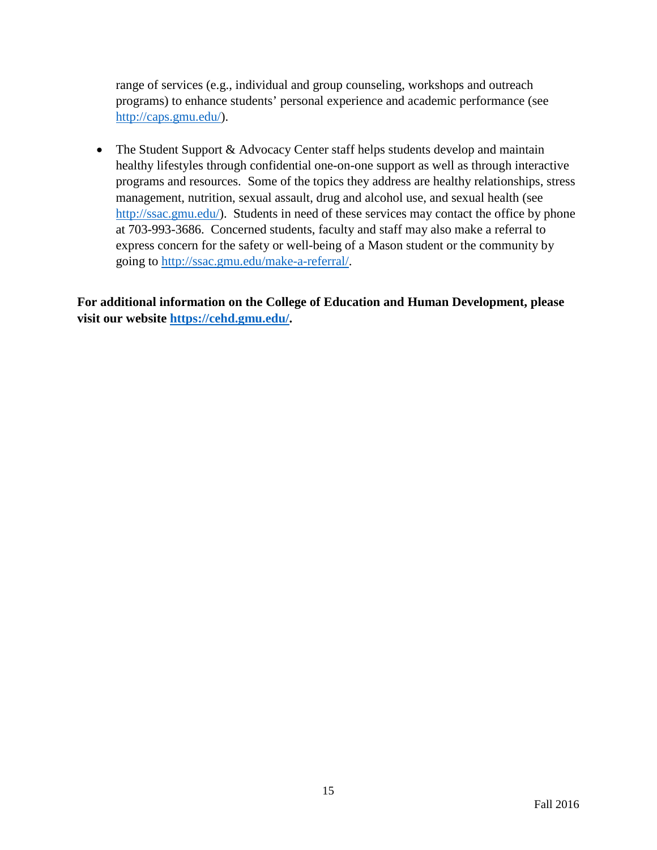range of services (e.g., individual and group counseling, workshops and outreach programs) to enhance students' personal experience and academic performance (see [http://caps.gmu.edu/\)](http://caps.gmu.edu/).

• The Student Support & Advocacy Center staff helps students develop and maintain healthy lifestyles through confidential one-on-one support as well as through interactive programs and resources. Some of the topics they address are healthy relationships, stress management, nutrition, sexual assault, drug and alcohol use, and sexual health (see [http://ssac.gmu.edu/\)](http://ssac.gmu.edu/). Students in need of these services may contact the office by phone at 703-993-3686. Concerned students, faculty and staff may also make a referral to express concern for the safety or well-being of a Mason student or the community by going to [http://ssac.gmu.edu/make-a-referral/.](http://ssac.gmu.edu/make-a-referral/)

**For additional information on the College of Education and Human Development, please visit our website [https://cehd.gmu.edu/.](https://cehd.gmu.edu/)**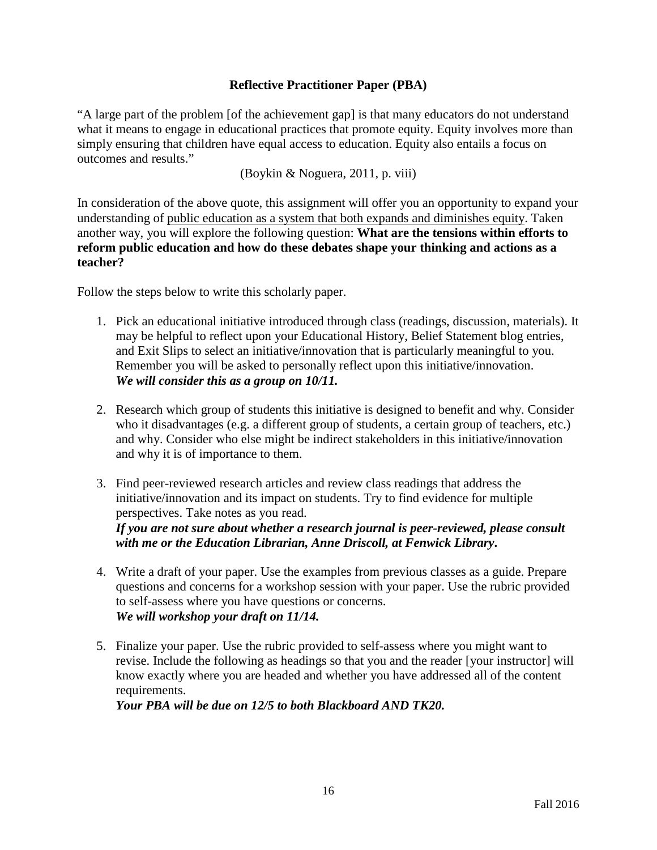# **Reflective Practitioner Paper (PBA)**

"A large part of the problem [of the achievement gap] is that many educators do not understand what it means to engage in educational practices that promote equity. Equity involves more than simply ensuring that children have equal access to education. Equity also entails a focus on outcomes and results."

(Boykin & Noguera, 2011, p. viii)

In consideration of the above quote, this assignment will offer you an opportunity to expand your understanding of public education as a system that both expands and diminishes equity. Taken another way, you will explore the following question: **What are the tensions within efforts to reform public education and how do these debates shape your thinking and actions as a teacher?**

Follow the steps below to write this scholarly paper.

- 1. Pick an educational initiative introduced through class (readings, discussion, materials). It may be helpful to reflect upon your Educational History, Belief Statement blog entries, and Exit Slips to select an initiative/innovation that is particularly meaningful to you. Remember you will be asked to personally reflect upon this initiative/innovation. *We will consider this as a group on 10/11.*
- 2. Research which group of students this initiative is designed to benefit and why. Consider who it disadvantages (e.g. a different group of students, a certain group of teachers, etc.) and why. Consider who else might be indirect stakeholders in this initiative/innovation and why it is of importance to them.
- 3. Find peer-reviewed research articles and review class readings that address the initiative/innovation and its impact on students. Try to find evidence for multiple perspectives. Take notes as you read.

*If you are not sure about whether a research journal is peer-reviewed, please consult with me or the Education Librarian, Anne Driscoll, at Fenwick Library***.** 

- 4. Write a draft of your paper. Use the examples from previous classes as a guide. Prepare questions and concerns for a workshop session with your paper. Use the rubric provided to self-assess where you have questions or concerns. *We will workshop your draft on 11/14.*
- 5. Finalize your paper. Use the rubric provided to self-assess where you might want to revise. Include the following as headings so that you and the reader [your instructor] will know exactly where you are headed and whether you have addressed all of the content requirements.

*Your PBA will be due on 12/5 to both Blackboard AND TK20.*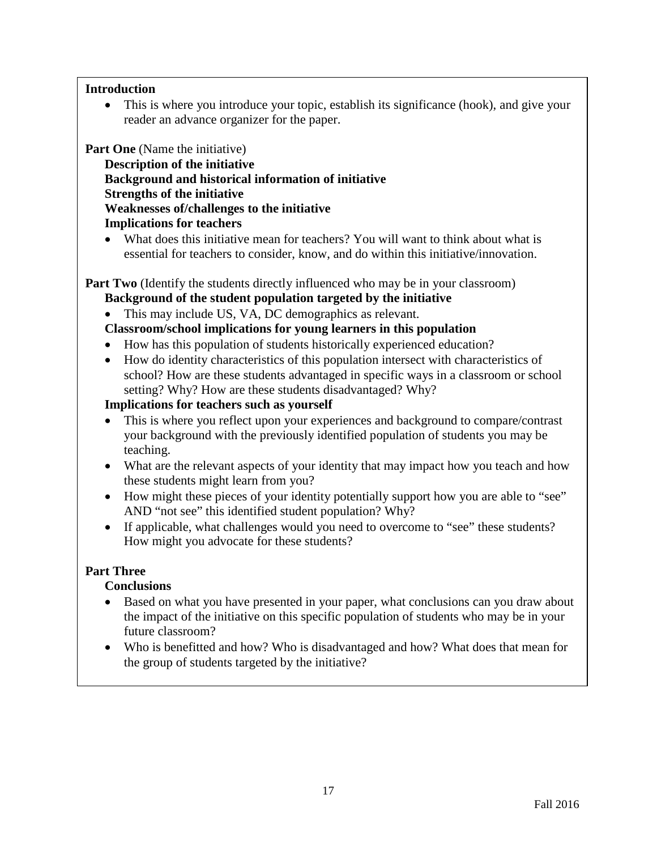#### **Introduction**

• This is where you introduce your topic, establish its significance (hook), and give your reader an advance organizer for the paper.

**Part One** (Name the initiative)

**Description of the initiative Background and historical information of initiative Strengths of the initiative Weaknesses of/challenges to the initiative Implications for teachers** 

• What does this initiative mean for teachers? You will want to think about what is essential for teachers to consider, know, and do within this initiative/innovation.

**Part Two** (Identify the students directly influenced who may be in your classroom)

**Background of the student population targeted by the initiative**

• This may include US, VA, DC demographics as relevant.

- **Classroom/school implications for young learners in this population**
- How has this population of students historically experienced education?
- How do identity characteristics of this population intersect with characteristics of school? How are these students advantaged in specific ways in a classroom or school setting? Why? How are these students disadvantaged? Why?

## **Implications for teachers such as yourself**

- This is where you reflect upon your experiences and background to compare/contrast your background with the previously identified population of students you may be teaching.
- What are the relevant aspects of your identity that may impact how you teach and how these students might learn from you?
- How might these pieces of your identity potentially support how you are able to "see" AND "not see" this identified student population? Why?
- If applicable, what challenges would you need to overcome to "see" these students? How might you advocate for these students?

## **Part Three**

## **Conclusions**

- Based on what you have presented in your paper, what conclusions can you draw about the impact of the initiative on this specific population of students who may be in your future classroom?
- Who is benefitted and how? Who is disadvantaged and how? What does that mean for the group of students targeted by the initiative?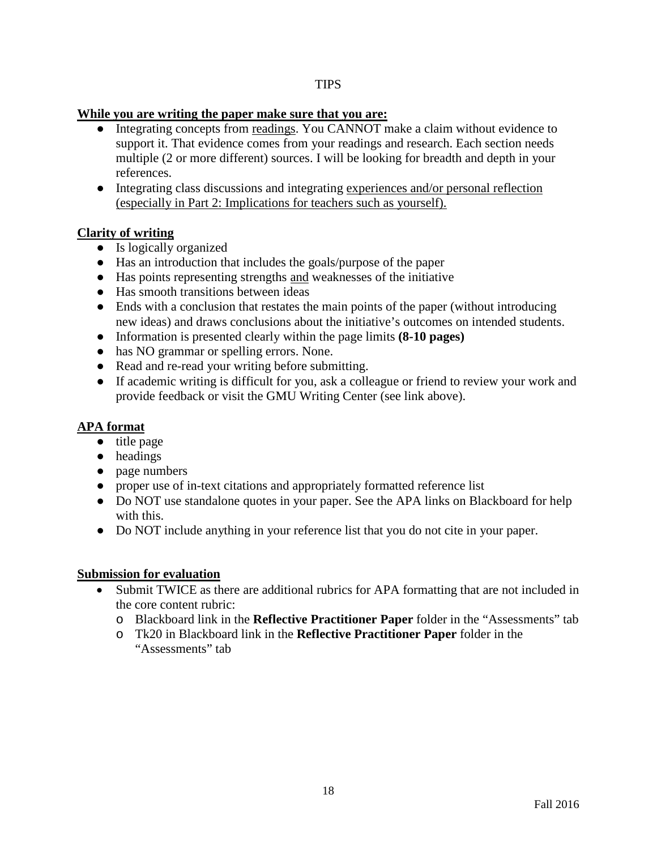#### **TIPS**

#### **While you are writing the paper make sure that you are:**

- Integrating concepts from readings. You CANNOT make a claim without evidence to support it. That evidence comes from your readings and research. Each section needs multiple (2 or more different) sources. I will be looking for breadth and depth in your references.
- Integrating class discussions and integrating experiences and/or personal reflection (especially in Part 2: Implications for teachers such as yourself).

## **Clarity of writing**

- Is logically organized
- Has an introduction that includes the goals/purpose of the paper
- Has points representing strengths and weaknesses of the initiative
- Has smooth transitions between ideas
- Ends with a conclusion that restates the main points of the paper (without introducing new ideas) and draws conclusions about the initiative's outcomes on intended students.
- Information is presented clearly within the page limits **(8-10 pages)**
- has NO grammar or spelling errors. None.
- Read and re-read your writing before submitting.
- If academic writing is difficult for you, ask a colleague or friend to review your work and provide feedback or visit the GMU Writing Center (see link above).

# **APA format**

- title page
- headings
- page numbers
- proper use of in-text citations and appropriately formatted reference list
- Do NOT use standalone quotes in your paper. See the APA links on Blackboard for help with this.
- Do NOT include anything in your reference list that you do not cite in your paper.

## **Submission for evaluation**

- Submit TWICE as there are additional rubrics for APA formatting that are not included in the core content rubric:
	- o Blackboard link in the **Reflective Practitioner Paper** folder in the "Assessments" tab
	- o Tk20 in Blackboard link in the **Reflective Practitioner Paper** folder in the "Assessments" tab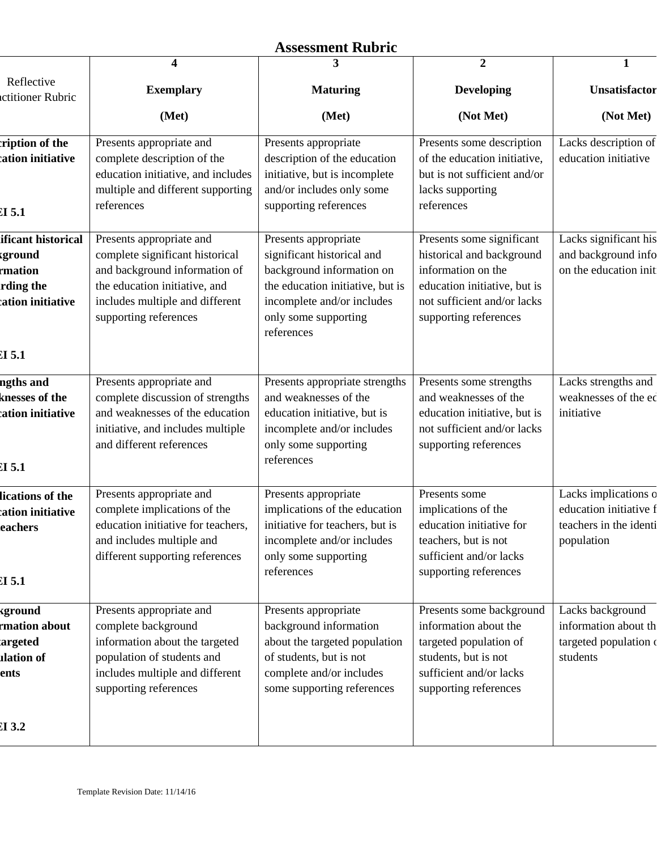# **Assessment Rubric**

|                                                                                          | 4                                                                                                                                                                                         | 3                                                                                                                                                                                       | $\overline{2}$                                                                                                                                                       | $\mathbf{1}$                                                                           |
|------------------------------------------------------------------------------------------|-------------------------------------------------------------------------------------------------------------------------------------------------------------------------------------------|-----------------------------------------------------------------------------------------------------------------------------------------------------------------------------------------|----------------------------------------------------------------------------------------------------------------------------------------------------------------------|----------------------------------------------------------------------------------------|
| Reflective<br>ctitioner Rubric                                                           | <b>Exemplary</b>                                                                                                                                                                          | <b>Maturing</b>                                                                                                                                                                         | <b>Developing</b>                                                                                                                                                    | Unsatisfactor                                                                          |
|                                                                                          | (Met)                                                                                                                                                                                     | (Met)                                                                                                                                                                                   | (Not Met)                                                                                                                                                            | (Not Met)                                                                              |
| ription of the<br>ation initiative<br>$CI$ 5.1                                           | Presents appropriate and<br>complete description of the<br>education initiative, and includes<br>multiple and different supporting<br>references                                          | Presents appropriate<br>description of the education<br>initiative, but is incomplete<br>and/or includes only some<br>supporting references                                             | Presents some description<br>of the education initiative,<br>but is not sufficient and/or<br>lacks supporting<br>references                                          | Lacks description of<br>education initiative                                           |
| ificant historical<br>kground<br>rmation<br>rding the<br>ation initiative<br>$c_{I}$ 5.1 | Presents appropriate and<br>complete significant historical<br>and background information of<br>the education initiative, and<br>includes multiple and different<br>supporting references | Presents appropriate<br>significant historical and<br>background information on<br>the education initiative, but is<br>incomplete and/or includes<br>only some supporting<br>references | Presents some significant<br>historical and background<br>information on the<br>education initiative, but is<br>not sufficient and/or lacks<br>supporting references | Lacks significant his<br>and background info<br>on the education init                  |
| ngths and<br>knesses of the<br>ation initiative<br>CI 5.1                                | Presents appropriate and<br>complete discussion of strengths<br>and weaknesses of the education<br>initiative, and includes multiple<br>and different references                          | Presents appropriate strengths<br>and weaknesses of the<br>education initiative, but is<br>incomplete and/or includes<br>only some supporting<br>references                             | Presents some strengths<br>and weaknesses of the<br>education initiative, but is<br>not sufficient and/or lacks<br>supporting references                             | Lacks strengths and<br>weaknesses of the ed<br>initiative                              |
| lications of the<br>ation initiative<br>eachers<br>CI 5.1                                | Presents appropriate and<br>complete implications of the<br>education initiative for teachers,<br>and includes multiple and<br>different supporting references                            | Presents appropriate<br>implications of the education<br>initiative for teachers, but is<br>incomplete and/or includes<br>only some supporting<br>references                            | Presents some<br>implications of the<br>education initiative for<br>teachers, but is not<br>sufficient and/or lacks<br>supporting references                         | Lacks implications o<br>education initiative f<br>teachers in the identi<br>population |
| kground<br>rmation about<br>argeted<br><b>alation</b> of<br>ents                         | Presents appropriate and<br>complete background<br>information about the targeted<br>population of students and<br>includes multiple and different<br>supporting references               | Presents appropriate<br>background information<br>about the targeted population<br>of students, but is not<br>complete and/or includes<br>some supporting references                    | Presents some background<br>information about the<br>targeted population of<br>students, but is not<br>sufficient and/or lacks<br>supporting references              | Lacks background<br>information about th<br>targeted population o<br>students          |
| CI 3.2                                                                                   |                                                                                                                                                                                           |                                                                                                                                                                                         |                                                                                                                                                                      |                                                                                        |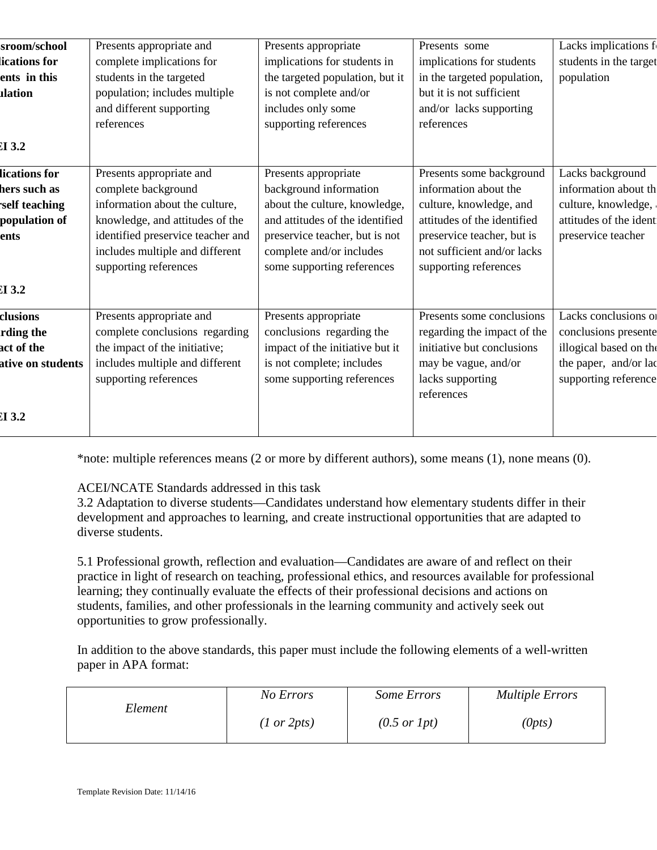| sroom/school      | Presents appropriate and          | Presents appropriate            | Presents some               | Lacks implications f   |
|-------------------|-----------------------------------|---------------------------------|-----------------------------|------------------------|
| ications for      | complete implications for         | implications for students in    | implications for students   | students in the target |
| ents in this      | students in the targeted          | the targeted population, but it | in the targeted population, | population             |
| <b>dation</b>     | population; includes multiple     | is not complete and/or          | but it is not sufficient    |                        |
|                   | and different supporting          | includes only some              | and/or lacks supporting     |                        |
|                   | references                        | supporting references           | references                  |                        |
| $CI$ 3.2          |                                   |                                 |                             |                        |
| lications for     | Presents appropriate and          | Presents appropriate            | Presents some background    | Lacks background       |
| hers such as      | complete background               | background information          | information about the       | information about th   |
| self teaching     | information about the culture,    | about the culture, knowledge,   | culture, knowledge, and     | culture, knowledge,    |
| population of     | knowledge, and attitudes of the   | and attitudes of the identified | attitudes of the identified | attitudes of the ident |
| ents              | identified preservice teacher and | preservice teacher, but is not  | preservice teacher, but is  | preservice teacher     |
|                   | includes multiple and different   | complete and/or includes        | not sufficient and/or lacks |                        |
|                   | supporting references             | some supporting references      | supporting references       |                        |
| $CI$ 3.2          |                                   |                                 |                             |                        |
| clusions          | Presents appropriate and          | Presents appropriate            | Presents some conclusions   | Lacks conclusions of   |
| rding the         | complete conclusions regarding    | conclusions regarding the       | regarding the impact of the | conclusions presente   |
| act of the        | the impact of the initiative;     | impact of the initiative but it | initiative but conclusions  | illogical based on the |
| ative on students | includes multiple and different   | is not complete; includes       | may be vague, and/or        | the paper, and/or lac  |
|                   | supporting references             | some supporting references      | lacks supporting            | supporting reference   |
|                   |                                   |                                 | references                  |                        |
| $CI$ 3.2          |                                   |                                 |                             |                        |
|                   |                                   |                                 |                             |                        |

\*note: multiple references means (2 or more by different authors), some means (1), none means (0).

## ACEI/NCATE Standards addressed in this task

3.2 Adaptation to diverse students—Candidates understand how elementary students differ in their development and approaches to learning, and create instructional opportunities that are adapted to diverse students.

5.1 Professional growth, reflection and evaluation—Candidates are aware of and reflect on their practice in light of research on teaching, professional ethics, and resources available for professional learning; they continually evaluate the effects of their professional decisions and actions on students, families, and other professionals in the learning community and actively seek out opportunities to grow professionally.

In addition to the above standards, this paper must include the following elements of a well-written paper in APA format:

|         | No Errors              | Some Errors             | <b>Multiple Errors</b> |
|---------|------------------------|-------------------------|------------------------|
| Element | $(1 \text{ or } 2pts)$ | $(0.5 \text{ or } 1pt)$ | (0pts)                 |
|         |                        |                         |                        |